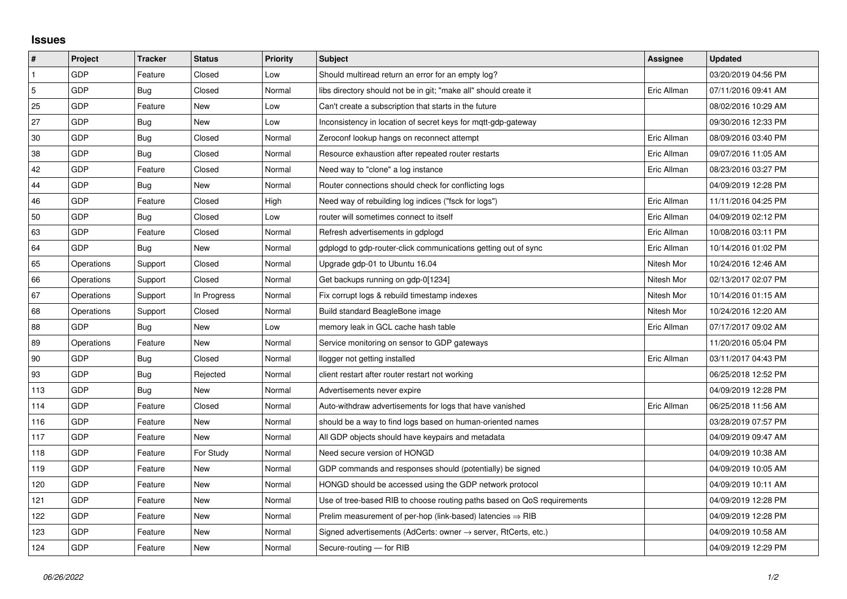## **Issues**

| $\vert$ #      | Project    | <b>Tracker</b> | <b>Status</b> | <b>Priority</b> | <b>Subject</b>                                                             | Assignee    | <b>Updated</b>      |
|----------------|------------|----------------|---------------|-----------------|----------------------------------------------------------------------------|-------------|---------------------|
| $\mathbf{1}$   | GDP        | Feature        | Closed        | Low             | Should multiread return an error for an empty log?                         |             | 03/20/2019 04:56 PM |
| $\overline{5}$ | GDP        | Bug            | Closed        | Normal          | libs directory should not be in git; "make all" should create it           | Eric Allman | 07/11/2016 09:41 AM |
| 25             | GDP        | Feature        | New           | Low             | Can't create a subscription that starts in the future                      |             | 08/02/2016 10:29 AM |
| 27             | GDP        | Bug            | New           | Low             | Inconsistency in location of secret keys for mgtt-gdp-gateway              |             | 09/30/2016 12:33 PM |
| 30             | GDP        | Bug            | Closed        | Normal          | Zeroconf lookup hangs on reconnect attempt                                 | Eric Allman | 08/09/2016 03:40 PM |
| 38             | GDP        | Bug            | Closed        | Normal          | Resource exhaustion after repeated router restarts                         | Eric Allman | 09/07/2016 11:05 AM |
| 42             | GDP        | Feature        | Closed        | Normal          | Need way to "clone" a log instance                                         | Eric Allman | 08/23/2016 03:27 PM |
| 44             | GDP        | Bug            | New           | Normal          | Router connections should check for conflicting logs                       |             | 04/09/2019 12:28 PM |
| 46             | GDP        | Feature        | Closed        | High            | Need way of rebuilding log indices ("fsck for logs")                       | Eric Allman | 11/11/2016 04:25 PM |
| 50             | GDP        | Bug            | Closed        | Low             | router will sometimes connect to itself                                    | Eric Allman | 04/09/2019 02:12 PM |
| 63             | GDP        | Feature        | Closed        | Normal          | Refresh advertisements in gdplogd                                          | Eric Allman | 10/08/2016 03:11 PM |
| 64             | GDP        | Bug            | New           | Normal          | gdplogd to gdp-router-click communications getting out of sync             | Eric Allman | 10/14/2016 01:02 PM |
| 65             | Operations | Support        | Closed        | Normal          | Upgrade gdp-01 to Ubuntu 16.04                                             | Nitesh Mor  | 10/24/2016 12:46 AM |
| 66             | Operations | Support        | Closed        | Normal          | Get backups running on gdp-0[1234]                                         | Nitesh Mor  | 02/13/2017 02:07 PM |
| 67             | Operations | Support        | In Progress   | Normal          | Fix corrupt logs & rebuild timestamp indexes                               | Nitesh Mor  | 10/14/2016 01:15 AM |
| 68             | Operations | Support        | Closed        | Normal          | Build standard BeagleBone image                                            | Nitesh Mor  | 10/24/2016 12:20 AM |
| 88             | GDP        | Bug            | New           | Low             | memory leak in GCL cache hash table                                        | Eric Allman | 07/17/2017 09:02 AM |
| 89             | Operations | Feature        | New           | Normal          | Service monitoring on sensor to GDP gateways                               |             | 11/20/2016 05:04 PM |
| 90             | GDP        | Bug            | Closed        | Normal          | llogger not getting installed                                              | Eric Allman | 03/11/2017 04:43 PM |
| 93             | GDP        | Bug            | Rejected      | Normal          | client restart after router restart not working                            |             | 06/25/2018 12:52 PM |
| 113            | GDP        | Bug            | New           | Normal          | Advertisements never expire                                                |             | 04/09/2019 12:28 PM |
| 114            | GDP        | Feature        | Closed        | Normal          | Auto-withdraw advertisements for logs that have vanished                   | Eric Allman | 06/25/2018 11:56 AM |
| 116            | GDP        | Feature        | New           | Normal          | should be a way to find logs based on human-oriented names                 |             | 03/28/2019 07:57 PM |
| 117            | GDP        | Feature        | New           | Normal          | All GDP objects should have keypairs and metadata                          |             | 04/09/2019 09:47 AM |
| 118            | GDP        | Feature        | For Study     | Normal          | Need secure version of HONGD                                               |             | 04/09/2019 10:38 AM |
| 119            | GDP        | Feature        | New           | Normal          | GDP commands and responses should (potentially) be signed                  |             | 04/09/2019 10:05 AM |
| 120            | GDP        | Feature        | New           | Normal          | HONGD should be accessed using the GDP network protocol                    |             | 04/09/2019 10:11 AM |
| 121            | GDP        | Feature        | New           | Normal          | Use of tree-based RIB to choose routing paths based on QoS requirements    |             | 04/09/2019 12:28 PM |
| 122            | GDP        | Feature        | New           | Normal          | Prelim measurement of per-hop (link-based) latencies $\Rightarrow$ RIB     |             | 04/09/2019 12:28 PM |
| 123            | GDP        | Feature        | New           | Normal          | Signed advertisements (AdCerts: owner $\rightarrow$ server, RtCerts, etc.) |             | 04/09/2019 10:58 AM |
| 124            | GDP        | Feature        | <b>New</b>    | Normal          | Secure-routing - for RIB                                                   |             | 04/09/2019 12:29 PM |